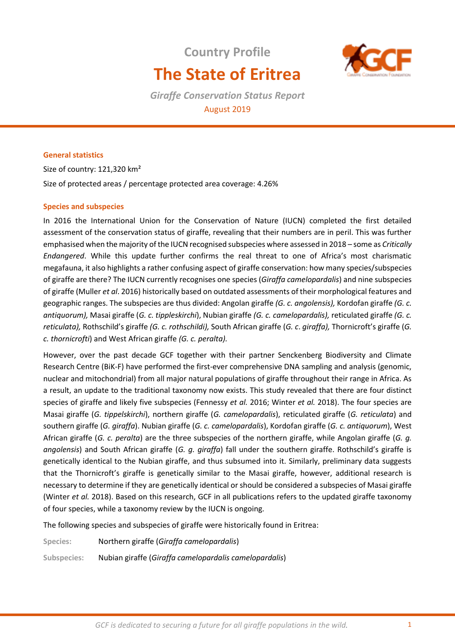# **Country Profile The State of Eritrea**



*Giraffe Conservation Status Report*  August 2019

# **General statistics**

Size of country: 121,320 km² Size of protected areas / percentage protected area coverage: 4.26%

## **Species and subspecies**

In 2016 the International Union for the Conservation of Nature (IUCN) completed the first detailed assessment of the conservation status of giraffe, revealing that their numbers are in peril. This was further emphasised when the majority of the IUCN recognised subspecies where assessed in 2018 – some as *Critically Endangered*. While this update further confirms the real threat to one of Africa's most charismatic megafauna, it also highlights a rather confusing aspect of giraffe conservation: how many species/subspecies of giraffe are there? The IUCN currently recognises one species (*Giraffa camelopardalis*) and nine subspecies of giraffe (Muller *et al*. 2016) historically based on outdated assessments of their morphological features and geographic ranges. The subspecies are thus divided: Angolan giraffe *(G. c. angolensis),* Kordofan giraffe *(G. c. antiquorum),* Masai giraffe (*G. c. tippleskirchi*), Nubian giraffe *(G. c. camelopardalis),* reticulated giraffe *(G. c. reticulata),* Rothschild's giraffe *(G. c. rothschildi),* South African giraffe (*G. c*. *giraffa),* Thornicroft's giraffe (*G. c. thornicrofti*) and West African giraffe *(G. c. peralta).* 

However, over the past decade GCF together with their partner Senckenberg Biodiversity and Climate Research Centre (BiK-F) have performed the first-ever comprehensive DNA sampling and analysis (genomic, nuclear and mitochondrial) from all major natural populations of giraffe throughout their range in Africa. As a result, an update to the traditional taxonomy now exists. This study revealed that there are four distinct species of giraffe and likely five subspecies (Fennessy *et al.* 2016; Winter *et al.* 2018). The four species are Masai giraffe (*G. tippelskirchi*), northern giraffe (*G. camelopardalis*), reticulated giraffe (*G. reticulata*) and southern giraffe (*G. giraffa*). Nubian giraffe (*G. c. camelopardalis*), Kordofan giraffe (*G. c. antiquorum*), West African giraffe (*G. c. peralta*) are the three subspecies of the northern giraffe, while Angolan giraffe (*G. g. angolensis*) and South African giraffe (*G. g. giraffa*) fall under the southern giraffe. Rothschild's giraffe is genetically identical to the Nubian giraffe, and thus subsumed into it. Similarly, preliminary data suggests that the Thornicroft's giraffe is genetically similar to the Masai giraffe, however, additional research is necessary to determine if they are genetically identical or should be considered a subspecies of Masai giraffe (Winter *et al.* 2018). Based on this research, GCF in all publications refers to the updated giraffe taxonomy of four species, while a taxonomy review by the IUCN is ongoing.

The following species and subspecies of giraffe were historically found in Eritrea:

**Species:** Northern giraffe (*Giraffa camelopardalis*)

**Subspecies:** Nubian giraffe (*Giraffa camelopardalis camelopardalis*)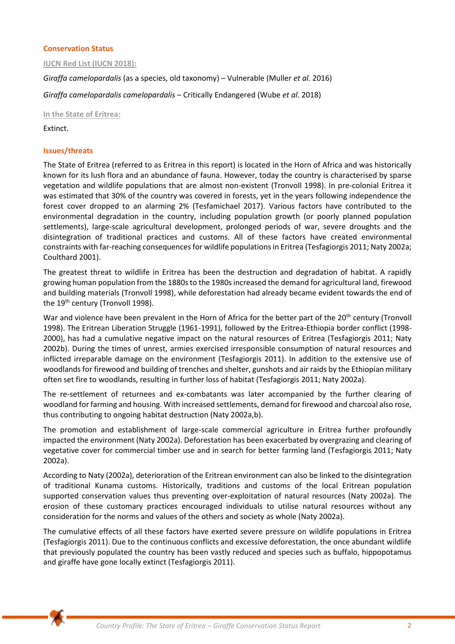## **Conservation Status**

**IUCN Red List (IUCN 2018):** 

*Giraffa camelopardalis* (as a species, old taxonomy) – Vulnerable (Muller *et al.* 2016)

*Giraffa camelopardalis camelopardalis* – Critically Endangered (Wube *et al*. 2018)

**In the State of Eritrea:** 

Extinct.

## **Issues/threats**

The State of Eritrea (referred to as Eritrea in this report) is located in the Horn of Africa and was historically known for its lush flora and an abundance of fauna. However, today the country is characterised by sparse vegetation and wildlife populations that are almost non-existent (Tronvoll 1998). In pre-colonial Eritrea it was estimated that 30% of the country was covered in forests, yet in the years following independence the forest cover dropped to an alarming 2% (Tesfamichael 2017). Various factors have contributed to the environmental degradation in the country, including population growth (or poorly planned population settlements), large-scale agricultural development, prolonged periods of war, severe droughts and the disintegration of traditional practices and customs. All of these factors have created environmental constraints with far-reaching consequences for wildlife populations in Eritrea (Tesfagiorgis 2011; Naty 2002a; Coulthard 2001).

The greatest threat to wildlife in Eritrea has been the destruction and degradation of habitat. A rapidly growing human population from the 1880s to the 1980s increased the demand for agricultural land, firewood and building materials (Tronvoll 1998), while deforestation had already became evident towards the end of the 19<sup>th</sup> century (Tronvoll 1998).

War and violence have been prevalent in the Horn of Africa for the better part of the 20<sup>th</sup> century (Tronvoll 1998). The Eritrean Liberation Struggle (1961-1991), followed by the Eritrea-Ethiopia border conflict (1998- 2000), has had a cumulative negative impact on the natural resources of Eritrea (Tesfagiorgis 2011; Naty 2002b). During the times of unrest, armies exercised irresponsible consumption of natural resources and inflicted irreparable damage on the environment (Tesfagiorgis 2011). In addition to the extensive use of woodlands for firewood and building of trenches and shelter, gunshots and air raids by the Ethiopian military often set fire to woodlands, resulting in further loss of habitat (Tesfagiorgis 2011; Naty 2002a).

The re-settlement of returnees and ex-combatants was later accompanied by the further clearing of woodland for farming and housing. With increased settlements, demand for firewood and charcoal also rose, thus contributing to ongoing habitat destruction (Naty 2002a,b).

The promotion and establishment of large-scale commercial agriculture in Eritrea further profoundly impacted the environment (Naty 2002a). Deforestation has been exacerbated by overgrazing and clearing of vegetative cover for commercial timber use and in search for better farming land (Tesfagiorgis 2011; Naty 2002a).

According to Naty (2002a), deterioration of the Eritrean environment can also be linked to the disintegration of traditional Kunama customs. Historically, traditions and customs of the local Eritrean population supported conservation values thus preventing over-exploitation of natural resources (Naty 2002a). The erosion of these customary practices encouraged individuals to utilise natural resources without any consideration for the norms and values of the others and society as whole (Naty 2002a).

The cumulative effects of all these factors have exerted severe pressure on wildlife populations in Eritrea (Tesfagiorgis 2011). Due to the continuous conflicts and excessive deforestation, the once abundant wildlife that previously populated the country has been vastly reduced and species such as buffalo, hippopotamus and giraffe have gone locally extinct (Tesfagiorgis 2011).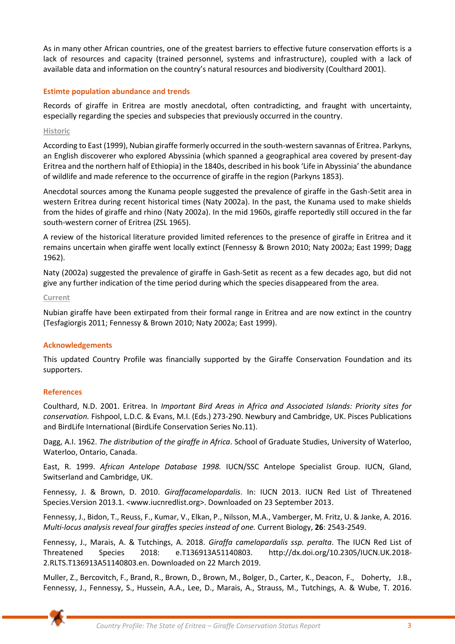As in many other African countries, one of the greatest barriers to effective future conservation efforts is a lack of resources and capacity (trained personnel, systems and infrastructure), coupled with a lack of available data and information on the country's natural resources and biodiversity (Coulthard 2001).

## **Estimte population abundance and trends**

Records of giraffe in Eritrea are mostly anecdotal, often contradicting, and fraught with uncertainty, especially regarding the species and subspecies that previously occurred in the country.

## **Historic**

According to East (1999), Nubian giraffe formerly occurred in the south-western savannas of Eritrea. Parkyns, an English discoverer who explored Abyssinia (which spanned a geographical area covered by present-day Eritrea and the northern half of Ethiopia) in the 1840s, described in his book 'Life in Abyssinia' the abundance of wildlife and made reference to the occurrence of giraffe in the region (Parkyns 1853).

Anecdotal sources among the Kunama people suggested the prevalence of giraffe in the Gash-Setit area in western Eritrea during recent historical times (Naty 2002a). In the past, the Kunama used to make shields from the hides of giraffe and rhino (Naty 2002a). In the mid 1960s, giraffe reportedly still occured in the far south-western corner of Eritrea (ZSL 1965).

A review of the historical literature provided limited references to the presence of giraffe in Eritrea and it remains uncertain when giraffe went locally extinct (Fennessy & Brown 2010; Naty 2002a; East 1999; Dagg 1962).

Naty (2002a) suggested the prevalence of giraffe in Gash-Setit as recent as a few decades ago, but did not give any further indication of the time period during which the species disappeared from the area.

#### **Current**

Nubian giraffe have been extirpated from their formal range in Eritrea and are now extinct in the country (Tesfagiorgis 2011; Fennessy & Brown 2010; Naty 2002a; East 1999).

## **Acknowledgements**

This updated Country Profile was financially supported by the Giraffe Conservation Foundation and its supporters.

## **References**

Coulthard, N.D. 2001. Eritrea. In *Important Bird Areas in Africa and Associated Islands: Priority sites for conservation.* Fishpool, L.D.C. & Evans, M.I. (Eds.) 273-290. Newbury and Cambridge, UK. Pisces Publications and BirdLife International (BirdLife Conservation Series No.11).

Dagg, A.I. 1962. *The distribution of the giraffe in Africa*. School of Graduate Studies, University of Waterloo, Waterloo, Ontario, Canada.

East, R. 1999. *African Antelope Database 1998.* IUCN/SSC Antelope Specialist Group. IUCN, Gland, Switserland and Cambridge, UK.

Fennessy, J. & Brown, D. 2010. *Giraffacamelopardalis*. In: IUCN 2013. IUCN Red List of Threatened Species.Version 2013.1. [<www.iucnredlist.org>](http://www.iucnredlist.org/). Downloaded on 23 September 2013.

Fennessy, J., Bidon, T., Reuss, F., Kumar, V., Elkan, P., Nilsson, M.A., Vamberger, M. Fritz, U. & Janke, A. 2016. *Multi-locus analysis reveal four giraffes species instead of one.* Current Biology, **26**: 2543-2549.

Fennessy, J., Marais, A. & Tutchings, A. 2018. *Giraffa camelopardalis ssp. peralta*. The IUCN Red List of Threatened Species 2018: e.T136913A51140803. http://dx.doi.org/10.2305/IUCN.UK.2018- 2.RLTS.T136913A51140803.en. Downloaded on 22 March 2019.

Muller, Z., Bercovitch, F., Brand, R., Brown, D., Brown, M., Bolger, D., Carter, K., Deacon, F., Doherty, J.B., Fennessy, J., Fennessy, S., Hussein, A.A., Lee, D., Marais, A., Strauss, M., Tutchings, A. & Wube, T. 2016.